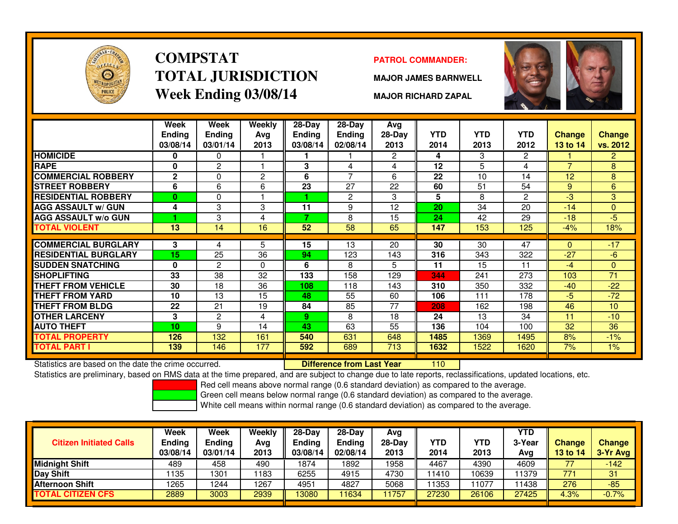

# **COMPSTATTOTAL JURISDICTIONWeek Ending 03/08/14**

### **PATROL COMMANDER:**

**MAJOR JAMES BARNWELL**



**MAJOR RICHARD ZAPAL**

|                             | Week<br><b>Ending</b><br>03/08/14 | Week<br><b>Ending</b><br>03/01/14 | <b>Weekly</b><br>Avg<br>2013 | $28-Day$<br>Ending<br>03/08/14 | $28-Day$<br><b>Ending</b><br>02/08/14 | Avg<br>28-Day<br>2013 | <b>YTD</b><br>2014 | <b>YTD</b><br>2013 | <b>YTD</b><br>2012 | <b>Change</b><br><b>13 to 14</b> | <b>Change</b><br>vs. 2012 |
|-----------------------------|-----------------------------------|-----------------------------------|------------------------------|--------------------------------|---------------------------------------|-----------------------|--------------------|--------------------|--------------------|----------------------------------|---------------------------|
| <b>HOMICIDE</b>             | 0                                 | 0                                 |                              |                                |                                       | $\overline{2}$        | 4                  | 3                  | 2                  |                                  | $\overline{2}$            |
| <b>RAPE</b>                 | 0                                 | $\overline{c}$                    |                              | 3                              | 4                                     | 4                     | 12                 | 5                  | 4                  | $\overline{ }$                   | 8                         |
| <b>COMMERCIAL ROBBERY</b>   | $\mathbf{2}$                      | 0                                 | $\mathbf{2}$                 | 6                              | $\overline{7}$                        | 6                     | 22                 | 10                 | 14                 | 12                               | 8                         |
| <b>STREET ROBBERY</b>       | 6                                 | 6                                 | 6                            | 23                             | 27                                    | 22                    | 60                 | 51                 | 54                 | 9                                | 6                         |
| <b>RESIDENTIAL ROBBERY</b>  | $\bf{0}$                          | 0                                 |                              |                                | $\overline{c}$                        | 3                     | 5                  | 8                  | 2                  | -3                               | 3                         |
| <b>AGG ASSAULT w/ GUN</b>   | 4                                 | 3                                 | 3                            | 11                             | 9                                     | 12                    | 20                 | 34                 | 20                 | $-14$                            | $\Omega$                  |
| <b>AGG ASSAULT w/o GUN</b>  |                                   | 3                                 | 4                            | 7                              | 8                                     | 15                    | 24                 | 42                 | 29                 | $-18$                            | -5                        |
| <b>TOTAL VIOLENT</b>        | 13                                | 14                                | 16                           | 52                             | 58                                    | 65                    | 147                | 153                | 125                | $-4%$                            | 18%                       |
|                             |                                   |                                   |                              |                                |                                       |                       |                    |                    |                    |                                  |                           |
| <b>COMMERCIAL BURGLARY</b>  | 3                                 | 4                                 | 5                            | 15                             | 13                                    | 20                    | 30                 | 30                 | 47                 | $\Omega$                         | $-17$                     |
| <b>RESIDENTIAL BURGLARY</b> | 15                                | 25                                | 36                           | 94                             | 123                                   | 143                   | 316                | 343                | 322                | $-27$                            | $-6$                      |
| <b>SUDDEN SNATCHING</b>     | $\bf{0}$                          | $\overline{c}$                    | $\Omega$                     | 6                              | 8                                     | 5                     | 11                 | 15                 | 11                 | $-4$                             | $\Omega$                  |
| <b>SHOPLIFTING</b>          | 33                                | 38                                | 32                           | 133                            | 158                                   | 129                   | 344                | 241                | 273                | 103                              | $\overline{71}$           |
| <b>THEFT FROM VEHICLE</b>   | 30                                | 18                                | 36                           | 108                            | 118                                   | 143                   | 310                | 350                | 332                | $-40$                            | $-22$                     |
| THEFT FROM YARD             | 10                                | 13                                | 15                           | 48                             | 55                                    | 60                    | 106                | 111                | 178                | -5                               | $-72$                     |
| <b>THEFT FROM BLDG</b>      | 22                                | 21                                | 19                           | 84                             | 85                                    | 77                    | 208                | 162                | 198                | 46                               | 10                        |
| <b>OTHER LARCENY</b>        | 3                                 | $\overline{c}$                    | 4                            | 9                              | 8                                     | 18                    | 24                 | 13                 | 34                 | 11                               | $-10$                     |
| <b>AUTO THEFT</b>           | 10                                | 9                                 | 14                           | 43                             | 63                                    | 55                    | 136                | 104                | 100                | 32                               | 36                        |
| <b>TOTAL PROPERTY</b>       | 126                               | 132                               | 161                          | 540                            | 631                                   | 648                   | 1485               | 1369               | 1495               | 8%                               | $-1%$                     |
| <b>TOTAL PART I</b>         | 139                               | 146                               | 177                          | 592                            | 689                                   | 713                   | 1632               | 1522               | 1620               | 7%                               | 1%                        |

Statistics are based on the date the crime occurred. **Difference from Last Year** 

Statistics are based on the date the crime occurred. **Interpree to the Last Year 110 M** The based on the date the<br>Statistics are preliminary, based on RMS data at the time prepared, and are subject to change due to late re

Red cell means above normal range (0.6 standard deviation) as compared to the average.

Green cell means below normal range (0.6 standard deviation) as compared to the average.

| <b>Citizen Initiated Calls</b> | Week<br><b>Ending</b><br>03/08/14 | <b>Week</b><br><b>Ending</b><br>03/01/14 | Weekly<br>Ava<br>2013 | $28-Dav$<br>Ending<br>03/08/14 | $28-Dav$<br>Ending<br>02/08/14 | Avg<br>$28-Dav$<br>2013 | YTD<br>2014 | YTD<br>2013 | <b>YTD</b><br>3-Year<br>Avg | <b>Change</b><br><b>13 to 14</b> | <b>Change</b><br>3-Yr Avg |
|--------------------------------|-----------------------------------|------------------------------------------|-----------------------|--------------------------------|--------------------------------|-------------------------|-------------|-------------|-----------------------------|----------------------------------|---------------------------|
| <b>Midnight Shift</b>          | 489                               | 458                                      | 490                   | 1874                           | 1892                           | 1958                    | 4467        | 4390        | 4609                        |                                  | $-142$                    |
| Day Shift                      | ' 135                             | 1301                                     | 1183                  | 6255                           | 4915                           | 4730                    | 11410       | 10639       | 11379                       | 771                              | 31                        |
| Afternoon Shift                | 1265                              | 1244                                     | 1267                  | 4951                           | 4827                           | 5068                    | 11353       | 1077        | 11438                       | 276                              | $-85$                     |
| <b>TOTAL CITIZEN CFS</b>       | 2889                              | 3003                                     | 2939                  | 3080                           | 11634                          | 1757                    | 27230       | 26106       | 27425                       | 4.3%                             | $-0.7%$                   |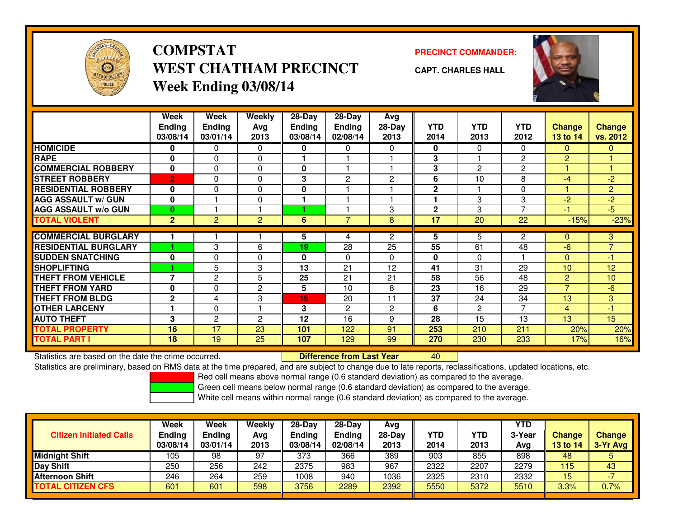

### **COMPSTATPRECINCT COMMANDER:**<br>
PRECINCT COMMANDER: **WEST CHATHAM PRECINCTWeek Ending 03/08/14**



**CAPT. CHARLES HALL**



|                             | Week           | Week           | Weekly         | $28$ -Day | $28$ -Day      | Avg                   |                |                |                |                |                 |
|-----------------------------|----------------|----------------|----------------|-----------|----------------|-----------------------|----------------|----------------|----------------|----------------|-----------------|
|                             | <b>Ending</b>  | <b>Ending</b>  | Avg            | Ending    | <b>Ending</b>  | $28-Day$              | <b>YTD</b>     | <b>YTD</b>     | <b>YTD</b>     | <b>Change</b>  | <b>Change</b>   |
|                             | 03/08/14       | 03/01/14       | 2013           | 03/08/14  | 02/08/14       | 2013                  | 2014           | 2013           | 2012           | 13 to 14       | vs. 2012        |
| <b>HOMICIDE</b>             | 0              | 0              | $\Omega$       | 0         | 0              | 0                     | 0              | $\Omega$       | $\Omega$       | $\Omega$       | $\mathbf{0}$    |
| <b>RAPE</b>                 | 0              | 0              | $\mathbf{0}$   |           |                |                       | 3              |                | $\overline{2}$ | $\overline{2}$ |                 |
| <b>COMMERCIAL ROBBERY</b>   | $\mathbf{0}$   | 0              | $\mathbf 0$    | 0         |                |                       | 3              | $\overline{2}$ | $\overline{c}$ |                |                 |
| <b>STREET ROBBERY</b>       | $\overline{2}$ | 0              | $\mathbf 0$    | 3         | $\overline{2}$ | $\overline{2}$        | 6              | 10             | 8              | -4             | $-2$            |
| <b>RESIDENTIAL ROBBERY</b>  | $\bf{0}$       | 0              | $\Omega$       | 0         |                |                       | $\mathbf{2}$   |                | 0              |                | $\overline{2}$  |
| <b>AGG ASSAULT w/ GUN</b>   | 0              |                | $\mathbf 0$    |           |                |                       |                | 3              | 3              | $-2$           | $-2$            |
| <b>AGG ASSAULT w/o GUN</b>  | $\bf{0}$       |                |                |           |                | 3                     | $\overline{2}$ | 3              | $\overline{7}$ | $\blacksquare$ | $-5$            |
| <b>TOTAL VIOLENT</b>        | $\overline{2}$ | $\overline{2}$ | $\overline{2}$ | 6         | $\overline{7}$ | 8                     | 17             | 20             | 22             | $-15%$         | $-23%$          |
|                             |                |                |                |           |                |                       |                |                |                |                |                 |
| <b>COMMERCIAL BURGLARY</b>  |                |                |                | 5         | 4              | 2                     | 5              | 5.             | $\overline{2}$ | $\Omega$       | 3               |
| <b>RESIDENTIAL BURGLARY</b> |                | 3              | 6              | 19        | 28             | 25                    | 55             | 61             | 48             | $-6$           | $\overline{7}$  |
| <b>SUDDEN SNATCHING</b>     | 0              | 0              | $\Omega$       | 0         | 0              | $\mathbf{0}$          | 0              | $\Omega$       |                | $\Omega$       | $-1$            |
| <b>ISHOPLIFTING</b>         |                | 5              | 3              | 13        | 21             | 12                    | 41             | 31             | 29             | 10             | 12              |
| <b>THEFT FROM VEHICLE</b>   | $\overline{7}$ | $\overline{c}$ | 5              | 25        | 21             | 21                    | 58             | 56             | 48             | $\overline{2}$ | 10 <sup>1</sup> |
| <b>THEFT FROM YARD</b>      | 0              | 0              | $\overline{c}$ | 5         | 10             | 8                     | 23             | 16             | 29             | $\overline{7}$ | $-6$            |
| <b>THEFT FROM BLDG</b>      | $\mathbf{2}$   | 4              | 3              | 19        | 20             | 11                    | 37             | 24             | 34             | 13             | 3               |
| <b>OTHER LARCENY</b>        | 1              | 0              |                | 3         | 2              | $\mathbf{2}^{\prime}$ | 6              | $\overline{c}$ | 7              | $\overline{4}$ | $-1$            |
| <b>AUTO THEFT</b>           | 3              | 2              | 2              | 12        | 16             | 9                     | 28             | 15             | 13             | 13             | 15              |
| <b>TOTAL PROPERTY</b>       | 16             | 17             | 23             | 101       | 122            | 91                    | 253            | 210            | 211            | 20%            | 20%             |
| <b>TOTAL PART I</b>         | 18             | 19             | 25             | 107       | 129            | 99                    | 270            | 230            | 233            | 17%            | 16%             |

Statistics are based on the date the crime occurred. **Difference from Last Year** 

<sup>40</sup>

Statistics are preliminary, based on RMS data at the time prepared, and are subject to change due to late reports, reclassifications, updated locations, etc.

Red cell means above normal range (0.6 standard deviation) as compared to the average.

Green cell means below normal range (0.6 standard deviation) as compared to the average.

|                                | <b>Week</b>   | Week          | Weekly | $28-Day$      | $28-Dav$ | Avg      |                  |      | <b>YTD</b> |               |               |
|--------------------------------|---------------|---------------|--------|---------------|----------|----------|------------------|------|------------|---------------|---------------|
| <b>Citizen Initiated Calls</b> | <b>Ending</b> | <b>Ending</b> | Avg    | <b>Ending</b> | Ending   | $28-Dav$ | <b>YTD</b>       | YTD  | 3-Year     | <b>Change</b> | <b>Change</b> |
|                                | 03/08/14      | 03/01/14      | 2013   | 03/08/14      | 02/08/14 | 2013     | 2014             | 2013 | Avg        | 13 to 14      | 3-Yr Avg      |
| <b>Midnight Shift</b>          | 105           | 98            | 97     | 373           | 366      | 389      | $\overline{903}$ | 855  | 898        | 48            |               |
| Day Shift                      | 250           | 256           | 242    | 2375          | 983      | 967      | 2322             | 2207 | 2279       | 115           | 43            |
| <b>Afternoon Shift</b>         | 246           | 264           | 259    | 1008          | 940      | 1036     | 2325             | 2310 | 2332       | 15            |               |
| <b>TOTAL CITIZEN CFS</b>       | 601           | 601           | 598    | 3756          | 2289     | 2392     | 5550             | 5372 | 5510       | 3.3%          | 0.7%          |
|                                |               |               |        |               |          |          |                  |      |            |               |               |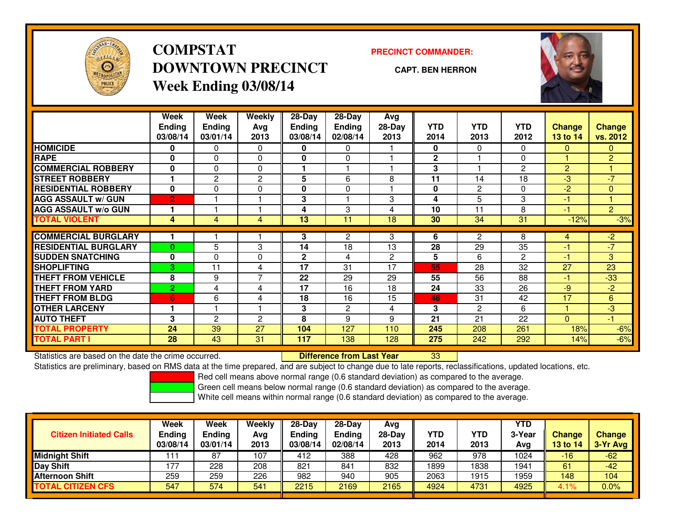

## **COMPSTATDOWNTOWN PRECINCTWeek Ending 03/08/14**

### **PRECINCT COMMANDER:**

**CAPT. BEN HERRON**

<sup>33</sup>



|                             | Week           | Week          | <b>Weekly</b>  | 28-Day       | 28-Day         | <b>Avg</b>   |              |                |                |                |                |
|-----------------------------|----------------|---------------|----------------|--------------|----------------|--------------|--------------|----------------|----------------|----------------|----------------|
|                             | <b>Ending</b>  | <b>Ending</b> | Ava            | Ending       | <b>Ending</b>  | $28-Day$     | <b>YTD</b>   | <b>YTD</b>     | <b>YTD</b>     | <b>Change</b>  | <b>Change</b>  |
|                             | 03/08/14       | 03/01/14      | 2013           | 03/08/14     | 02/08/14       | 2013         | 2014         | 2013           | 2012           | 13 to 14       | vs. 2012       |
| <b>HOMICIDE</b>             | 0              | 0             | 0              | 0            | 0              |              | $\mathbf{0}$ | $\Omega$       | 0              | $\mathbf{0}$   | $\Omega$       |
| <b>RAPE</b>                 | 0              | 0             | $\Omega$       | 0            | 0              |              | $\mathbf{2}$ |                | 0              |                | $\overline{2}$ |
| <b>COMMERCIAL ROBBERY</b>   | $\bf{0}$       | 0             | $\Omega$       |              |                |              | 3            |                | $\overline{c}$ | $\overline{2}$ |                |
| <b>STREET ROBBERY</b>       |                | 2             | $\mathbf{2}$   | 5            | 6              | 8            | 11           | 14             | 18             | $-3$           | $-7$           |
| <b>RESIDENTIAL ROBBERY</b>  | $\bf{0}$       | 0             | 0              | 0            | $\Omega$       |              | $\mathbf{0}$ | $\overline{2}$ | 0              | $-2$           | $\mathbf{0}$   |
| <b>AGG ASSAULT w/ GUN</b>   | $\overline{2}$ |               |                | 3            |                | 3            | 4            | 5              | 3              | $-1$           |                |
| <b>AGG ASSAULT w/o GUN</b>  |                |               |                | 4            | 3              | 4            | 10           | 11             | 8              | $-1$           | $\overline{2}$ |
| <b>TOTAL VIOLENT</b>        | 4              | 4             | 4              | 13           | 11             | 18           | 30           | 34             | 31             | $-12%$         | $-3%$          |
|                             |                |               |                |              |                |              |              |                |                |                |                |
| <b>COMMERCIAL BURGLARY</b>  |                |               |                | 3            | $\overline{2}$ | 3            | 6            | 2              | 8              | 4              | $-2$           |
| <b>RESIDENTIAL BURGLARY</b> | 0              | 5             | 3              | 14           | 18             | 13           | 28           | 29             | 35             | $-1$           | $-7$           |
| <b>SUDDEN SNATCHING</b>     | $\mathbf 0$    | 0             | $\Omega$       | $\mathbf{2}$ | 4              | $\mathbf{2}$ | 5            | 6              | 2              | -1             | 3 <sup>1</sup> |
| <b>SHOPLIFTING</b>          | 3              | 11            | 4              | 17           | 31             | 17           | 55           | 28             | 32             | 27             | 23             |
| <b>THEFT FROM VEHICLE</b>   | 8              | 9             | $\overline{7}$ | 22           | 29             | 29           | 55           | 56             | 88             | $-1$           | $-33$          |
| <b>THEFT FROM YARD</b>      | $\overline{2}$ | 4             | 4              | 17           | 16             | 18           | 24           | 33             | 26             | $-9$           | $-2$           |
| <b>THEFT FROM BLDG</b>      | 6              | 6             | 4              | 18           | 16             | 15           | 48           | 31             | 42             | 17             | 6              |
| <b>OTHER LARCENY</b>        |                |               |                | 3            | 2              | 4            | 3            | $\overline{2}$ | 6              | 4              | $-3$           |
| <b>AUTO THEFT</b>           | 3              | 2             | $\overline{c}$ | 8            | 9              | 9            | 21           | 21             | 22             | $\Omega$       | $-1$           |
| <b>TOTAL PROPERTY</b>       | 24             | 39            | 27             | 104          | 127            | 110          | 245          | 208            | 261            | 18%            | $-6%$          |
| <b>TOTAL PART I</b>         | 28             | 43            | 31             | 117          | 138            | 128          | 275          | 242            | 292            | 14%            | $-6%$          |

Statistics are based on the date the crime occurred. **Difference from Last Year** 

Statistics are preliminary, based on RMS data at the time prepared, and are subject to change due to late reports, reclassifications, updated locations, etc.

Red cell means above normal range (0.6 standard deviation) as compared to the average.

Green cell means below normal range (0.6 standard deviation) as compared to the average.

|                                | Week                      | <b>Week</b>               | Weekly      | $28-Day$                  | $28-Dav$           | Avg              |             |                    | <b>YTD</b>    |                           |                           |
|--------------------------------|---------------------------|---------------------------|-------------|---------------------------|--------------------|------------------|-------------|--------------------|---------------|---------------------------|---------------------------|
| <b>Citizen Initiated Calls</b> | <b>Ending</b><br>03/08/14 | <b>Ending</b><br>03/01/14 | Avg<br>2013 | <b>Ending</b><br>03/08/14 | Ending<br>02/08/14 | $28-Dav$<br>2013 | YTD<br>2014 | <b>YTD</b><br>2013 | 3-Year<br>Avg | <b>Change</b><br>13 to 14 | <b>Change</b><br>3-Yr Avg |
| <b>Midnight Shift</b>          | ∣1∶                       | 87                        | 107         | 412                       | 388                | 428              | 962         | 978                | 1024          | $-16$                     | $-62$                     |
|                                |                           |                           |             |                           |                    |                  |             |                    |               |                           |                           |
| Day Shift                      | 177                       | 228                       | 208         | 821                       | 841                | 832              | 1899        | 838                | 1941          | 61                        | $-42$                     |
| <b>Afternoon Shift</b>         | 259                       | 259                       | 226         | 982                       | 940                | 905              | 2063        | 1915               | 1959          | 148                       | 104                       |
| <b>TOTAL CITIZEN CFS</b>       | 547                       | 574                       | 541         | 2215                      | 2169               | 2165             | 4924        | 4731               | 4925          | 4.1%                      | 0.0%                      |
|                                |                           |                           |             |                           |                    |                  |             |                    |               |                           |                           |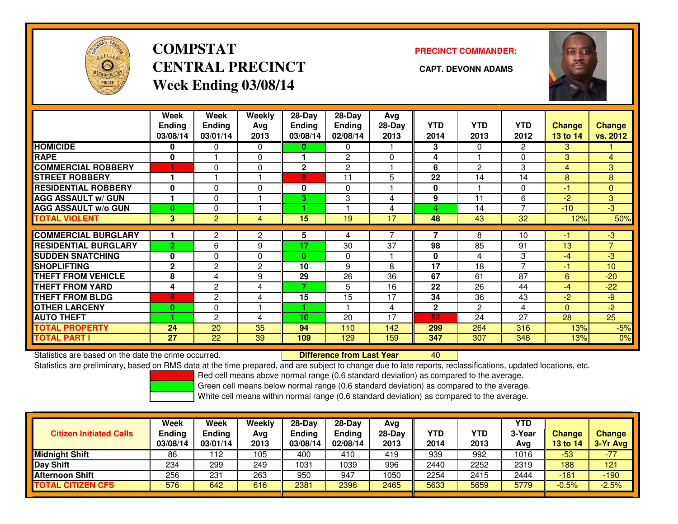

# **COMPSTATCENTRAL PRECINCT CAPT. DEVONN ADAMSWeek Ending 03/08/14**

**PRECINCT COMMANDER:**



|                             | Week<br><b>Ending</b><br>03/08/14 | Week<br><b>Ending</b><br>03/01/14 | Weekly<br>Ava<br>2013 | $28$ -Day<br>Ending<br>03/08/14 | $28-Day$<br>Ending<br>02/08/14 | Avg<br>$28-Day$<br>2013 | <b>YTD</b><br>2014 | <b>YTD</b><br>2013 | <b>YTD</b><br>2012 | <b>Change</b><br>13 to 14 | <b>Change</b><br>vs. 2012 |
|-----------------------------|-----------------------------------|-----------------------------------|-----------------------|---------------------------------|--------------------------------|-------------------------|--------------------|--------------------|--------------------|---------------------------|---------------------------|
| <b>HOMICIDE</b>             | 0                                 | 0                                 | 0                     | 0.                              | 0                              |                         | 3                  | 0                  | $\overline{2}$     | 3                         |                           |
| <b>RAPE</b>                 | 0                                 |                                   | $\mathbf 0$           |                                 | 2                              | $\Omega$                | 4                  |                    | 0                  | 3                         | 4                         |
| <b>COMMERCIAL ROBBERY</b>   |                                   | $\Omega$                          | $\mathbf 0$           | $\mathbf{2}$                    | $\overline{c}$                 |                         | 6                  | $\overline{2}$     | 3                  | 4                         | 3                         |
| <b>STREET ROBBERY</b>       | 1                                 |                                   |                       | 8                               | 11                             | 5                       | 22                 | 14                 | 14                 | 8                         | 8                         |
| <b>RESIDENTIAL ROBBERY</b>  | $\Omega$                          | 0                                 | $\Omega$              | 0                               | $\Omega$                       |                         | 0                  |                    | 0                  | -1                        | $\Omega$                  |
| <b>AGG ASSAULT w/ GUN</b>   | и                                 | 0                                 |                       | 3                               | 3                              | 4                       | 9                  | 11                 | 6                  | $\overline{2}$            | 3 <sup>1</sup>            |
| <b>AGG ASSAULT w/o GUN</b>  | $\bf{0}$                          | 0                                 |                       |                                 |                                | 4                       | 4                  | 14                 | 7                  | $-10$                     | $-3$                      |
| <b>TOTAL VIOLENT</b>        | 3                                 | $\overline{2}$                    | 4                     | 15                              | 19                             | 17                      | 48                 | 43                 | 32                 | 12%                       | 50%                       |
|                             |                                   |                                   |                       |                                 |                                |                         |                    |                    |                    |                           |                           |
| <b>COMMERCIAL BURGLARY</b>  | 1                                 | $\mathbf{2}$                      | 2                     | 5                               | 4                              |                         |                    | 8                  | 10                 | -1                        | $-3$                      |
| <b>RESIDENTIAL BURGLARY</b> | $\overline{2}$                    | 6                                 | 9                     | 17                              | 30                             | 37                      | 98                 | 85                 | 91                 | 13                        | $\overline{7}$            |
| <b>SUDDEN SNATCHING</b>     | $\bf{0}$                          | 0                                 | $\Omega$              | 0                               | 0                              |                         | 0                  | 4                  | 3                  | -4                        | $-3$                      |
| <b>SHOPLIFTING</b>          | $\mathbf{2}$                      | $\overline{2}$                    | 2                     | 10                              | 9                              | 8                       | 17                 | 18                 | 7                  | -1                        | 10 <sup>1</sup>           |
| <b>THEFT FROM VEHICLE</b>   | 8                                 | 4                                 | 9                     | 29                              | 26                             | 36                      | 67                 | 61                 | 87                 | 6                         | $-20$                     |
| <b>THEFT FROM YARD</b>      | 4                                 | 2                                 | 4                     | 7                               | 5                              | 16                      | 22                 | 26                 | 44                 | $-4$                      | $-22$                     |
| <b>THEFT FROM BLDG</b>      | 6                                 | 2                                 | 4                     | 15                              | 15                             | 17                      | 34                 | 36                 | 43                 | $-2$                      | $-9$                      |
| <b>OTHER LARCENY</b>        | $\bf{0}$                          | 0                                 |                       |                                 |                                | 4                       | $\mathbf{2}$       | $\overline{2}$     | 4                  | $\mathbf{0}$              | $-2$                      |
| <b>AUTO THEFT</b>           |                                   | $\overline{2}$                    | 4                     | 10                              | 20                             | 17                      | 52                 | 24                 | 27                 | 28                        | 25                        |
| <b>TOTAL PROPERTY</b>       | 24                                | 20                                | 35                    | 94                              | 110                            | 142                     | 299                | 264                | 316                | 13%                       | $-5%$                     |
| <b>TOTAL PART I</b>         | 27                                | 22                                | 39                    | 109                             | 129                            | 159                     | 347                | 307                | 348                | 13%                       | 0%                        |

Statistics are based on the date the crime occurred. **Difference from Last Year** 

Statistics are based on the date the crime occurred. **Externee the Luid Confference from Last Year Mated Action**<br>Statistics are preliminary, based on RMS data at the time prepared, and are subject to change due to late rep

Red cell means above normal range (0.6 standard deviation) as compared to the average.

Green cell means below normal range (0.6 standard deviation) as compared to the average.

| <b>Citizen Initiated Calls</b> | <b>Week</b><br><b>Ending</b><br>03/08/14 | <b>Week</b><br>Ending<br>03/01/14 | Weekly<br>Avg<br>2013 | $28-Day$<br><b>Ending</b><br>03/08/14 | $28-Dav$<br>Ending<br>02/08/14 | Avg<br>28-Dav<br>2013 | YTD<br>2014 | <b>YTD</b><br>2013 | YTD<br>3-Year<br>Avg | <b>Change</b><br><b>13 to 14</b> | <b>Change</b><br>3-Yr Avg |
|--------------------------------|------------------------------------------|-----------------------------------|-----------------------|---------------------------------------|--------------------------------|-----------------------|-------------|--------------------|----------------------|----------------------------------|---------------------------|
| <b>Midnight Shift</b>          | 86                                       | -12<br>12                         | 105                   | 400                                   | 410                            | 419                   | 939         | 992                | 1016                 | $-53$                            | $-77$                     |
| Day Shift                      | 234                                      | 299                               | 249                   | 1031                                  | 1039                           | 996                   | 2440        | 2252               | 2319                 | 188                              | 121                       |
| <b>Afternoon Shift</b>         | 256                                      | 231                               | 263                   | 950                                   | 947                            | 1050                  | 2254        | 2415               | 2444                 | $-161$                           | $-190$                    |
| <b>TOTAL CITIZEN CFS</b>       | 576                                      | 642                               | 616                   | 2381                                  | 2396                           | 2465                  | 5633        | 5659               | 5779                 | $-0.5%$                          | $-2.5%$                   |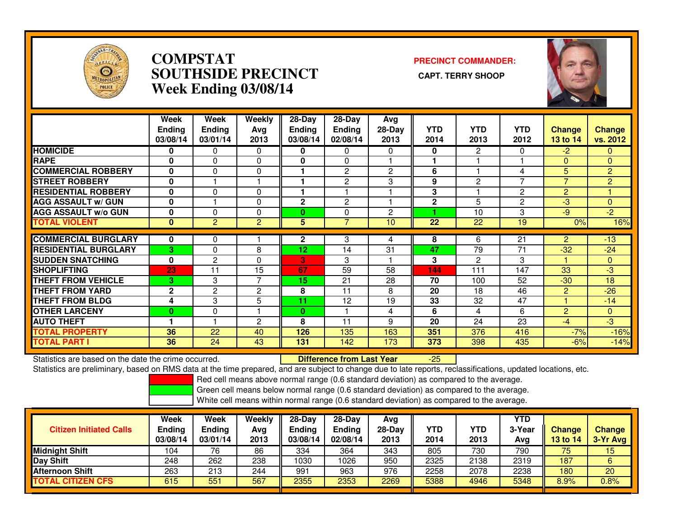

### **COMPSTAT PRECINCT COMMANDER: SOUTHSIDE PRECINCT CAPT. TERRY SHOOPWeek Ending 03/08/14**



|                             | Week<br><b>Ending</b><br>03/08/14 | <b>Week</b><br><b>Ending</b><br>03/01/14 | Weekly<br>Avg<br>2013 | $28-Day$<br>Ending<br>03/08/14 | 28-Day<br><b>Ending</b><br>02/08/14 | Avg<br>$28-Day$<br>2013 | <b>YTD</b><br>2014 | <b>YTD</b><br>2013 | <b>YTD</b><br>2012 | <b>Change</b><br>13 to 14 | Change<br>vs. 2012 |
|-----------------------------|-----------------------------------|------------------------------------------|-----------------------|--------------------------------|-------------------------------------|-------------------------|--------------------|--------------------|--------------------|---------------------------|--------------------|
| <b>HOMICIDE</b>             | 0                                 | 0                                        | $\Omega$              | 0                              | 0                                   | 0                       | 0                  | $\overline{2}$     | $\Omega$           | $-2$                      | 0                  |
| <b>RAPE</b>                 | 0                                 | 0                                        | $\Omega$              | 0                              | $\Omega$                            |                         |                    |                    |                    | $\Omega$                  | $\Omega$           |
| <b>COMMERCIAL ROBBERY</b>   | 0                                 | 0                                        | 0                     |                                | $\overline{c}$                      | $\mathbf{2}$            | 6                  |                    | 4                  | 5                         | $\overline{2}$     |
| <b>STREET ROBBERY</b>       | $\bf{0}$                          |                                          |                       |                                | $\overline{c}$                      | 3                       | 9                  | $\overline{2}$     | 7                  | $\overline{7}$            | $\overline{2}$     |
| <b>RESIDENTIAL ROBBERY</b>  | 0                                 | 0                                        | 0                     |                                |                                     |                         | 3                  |                    | $\overline{c}$     | $\overline{2}$            |                    |
| <b>AGG ASSAULT w/ GUN</b>   | 0                                 |                                          | $\Omega$              | $\mathbf{2}$                   | 2                                   |                         | $\mathbf{2}$       | 5                  | $\overline{c}$     | $-3$                      | $\overline{0}$     |
| <b>AGG ASSAULT w/o GUN</b>  | 0                                 | 0                                        | $\Omega$              | 0                              | 0                                   | $\overline{2}$          |                    | 10                 | 3                  | -9                        | $-2$               |
| <b>TOTAL VIOLENT</b>        | $\mathbf{0}$                      | $\overline{2}$                           | 2                     | 5                              | $\overline{7}$                      | 10                      | 22                 | 22                 | 19                 | 0%                        | 16%                |
|                             |                                   |                                          |                       |                                |                                     |                         |                    |                    |                    |                           |                    |
| <b>COMMERCIAL BURGLARY</b>  | 0                                 | 0                                        |                       | $\mathbf{2}$                   | 3                                   | 4                       | 8                  | 6                  | 21                 | $\overline{2}$            | $-13$              |
| <b>RESIDENTIAL BURGLARY</b> | 3                                 | 0                                        | 8                     | 12                             | 14                                  | 31                      | 47                 | 79                 | 71                 | $-32$                     | $-24$              |
| <b>ISUDDEN SNATCHING</b>    | 0                                 | $\mathbf{2}$                             | $\Omega$              | 3                              | 3                                   |                         | 3                  | 2                  | 3                  |                           | $\Omega$           |
| <b>SHOPLIFTING</b>          | 23                                | 11                                       | 15                    | 67                             | 59                                  | 58                      | 144                | 111                | 147                | 33                        | $-3$               |
| <b>THEFT FROM VEHICLE</b>   | 3                                 | 3                                        | $\overline{ }$        | 15                             | 21                                  | 28                      | 70                 | 100                | 52                 | $-30$                     | 18                 |
| <b>THEFT FROM YARD</b>      | $\mathbf{2}$                      | 2                                        | $\overline{c}$        | 8                              | 11                                  | 8                       | 20                 | 18                 | 46                 | $\overline{2}$            | $-26$              |
| <b>THEFT FROM BLDG</b>      | 4                                 | 3                                        | 5                     | 11                             | 12                                  | 19                      | 33                 | 32                 | 47                 |                           | $-14$              |
| <b>OTHER LARCENY</b>        | 0                                 | 0                                        |                       | 0                              |                                     | 4                       | 6                  | 4                  | 6                  | $\overline{2}$            | $\mathbf{0}$       |
| <b>AUTO THEFT</b>           |                                   |                                          | $\overline{2}$        | 8                              | 11                                  | 9                       | 20                 | 24                 | 23                 | $-4$                      | $-3$               |
| <b>TOTAL PROPERTY</b>       | 36                                | 22                                       | 40                    | 126                            | 135                                 | 163                     | 351                | 376                | 416                | $-7%$                     | $-16%$             |
| <b>TOTAL PART I</b>         | 36                                | 24                                       | 43                    | 131                            | 142                                 | 173                     | 373                | 398                | 435                | $-6%$                     | $-14%$             |

Statistics are based on the date the crime occurred. **Difference from Last Year** 

Statistics are based on the date the crime occurred. **Externee the Difference from Last Year Theoren 1976 and A**<br>Statistics are preliminary, based on RMS data at the time prepared, and are subject to change due to late rep

Red cell means above normal range (0.6 standard deviation) as compared to the average.

Green cell means below normal range (0.6 standard deviation) as compared to the average.

| <b>Citizen Initiated Calls</b> | Week<br>Ending<br>03/08/14 | <b>Week</b><br><b>Ending</b><br>03/01/14 | Weekly<br>Avg<br>2013 | $28-Day$<br><b>Ending</b><br>03/08/14 | $28-Day$<br><b>Ending</b><br>02/08/14 | Avg<br>28-Day<br>2013 | YTD<br>2014 | YTD<br>2013 | <b>YTD</b><br>3-Year<br>Avg | <b>Change</b><br>13 to 14 | <b>Change</b><br>3-Yr Avg |
|--------------------------------|----------------------------|------------------------------------------|-----------------------|---------------------------------------|---------------------------------------|-----------------------|-------------|-------------|-----------------------------|---------------------------|---------------------------|
| <b>Midnight Shift</b>          | 104                        | 76                                       | 86                    | 334                                   | 364                                   | 343                   | 805         | 730         | 790                         | 75                        | 15                        |
| Day Shift                      | 248                        | 262                                      | 238                   | 1030                                  | 1026                                  | 950                   | 2325        | 2138        | 2319                        | 187                       | 6                         |
| <b>Afternoon Shift</b>         | 263                        | 213                                      | 244                   | 991                                   | 963                                   | 976                   | 2258        | 2078        | 2238                        | 180                       | 20                        |
| <b>TOTAL CITIZEN CFS</b>       | 615                        | 551                                      | 567                   | 2355                                  | 2353                                  | 2269                  | 5388        | 4946        | 5348                        | 8.9%                      | $0.8\%$                   |